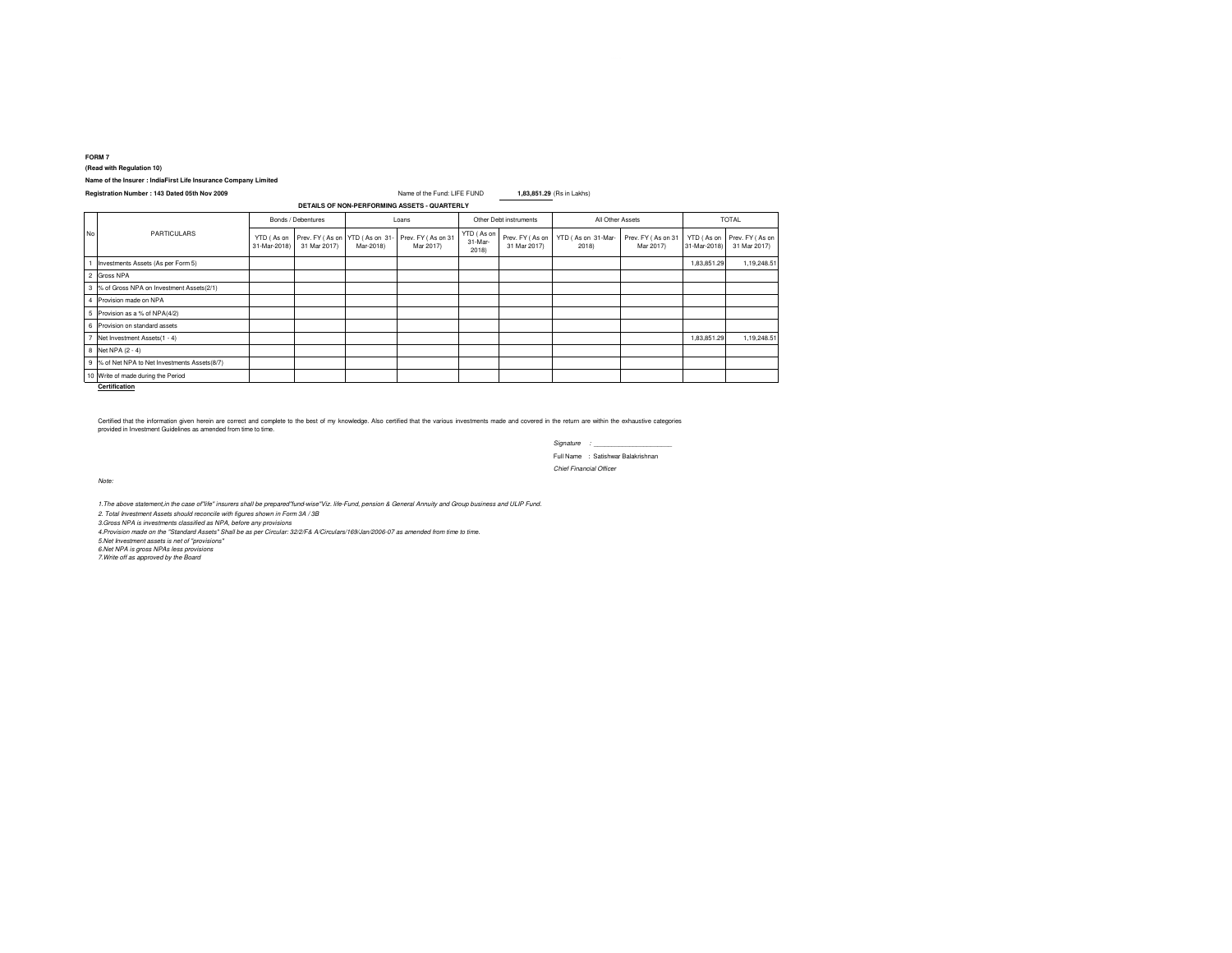**FORM 7**

**(Read with Regulation 10)**

# **Name of the Insurer : IndiaFirst Life Insurance Company Limited**

#### **Registration Number : 143 Dated 05th Nov 2009** Name of the Fund: LIFE FUND**1,83,851.29** (Rs in Lakhs)

|    | <b>PARTICULARS</b>                            | Bonds / Debentures         |                                 | Loans                       |                                 | Other Debt instruments         |                                 | All Other Assets            |                                 | <b>TOTAL</b>               |                                 |
|----|-----------------------------------------------|----------------------------|---------------------------------|-----------------------------|---------------------------------|--------------------------------|---------------------------------|-----------------------------|---------------------------------|----------------------------|---------------------------------|
| No |                                               | YTD (As on<br>31-Mar-2018) | Prev. FY (As on<br>31 Mar 2017) | YTD (As on 31-<br>Mar-2018) | Prev. FY (As on 31<br>Mar 2017) | YTD (As on<br>31-Mar-<br>2018) | Prev. FY (As on<br>31 Mar 2017) | YTD (As on 31-Mar-<br>2018) | Prev. FY (As on 31<br>Mar 2017) | YTD (As on<br>31-Mar-2018) | Prev. FY (As on<br>31 Mar 2017) |
|    | Investments Assets (As per Form 5)            |                            |                                 |                             |                                 |                                |                                 |                             |                                 | 1,83,851.29                | 1,19,248.51                     |
|    | 2 Gross NPA                                   |                            |                                 |                             |                                 |                                |                                 |                             |                                 |                            |                                 |
|    | 3 % of Gross NPA on Investment Assets(2/1)    |                            |                                 |                             |                                 |                                |                                 |                             |                                 |                            |                                 |
|    | Provision made on NPA                         |                            |                                 |                             |                                 |                                |                                 |                             |                                 |                            |                                 |
|    | 5 Provision as a % of NPA(4/2)                |                            |                                 |                             |                                 |                                |                                 |                             |                                 |                            |                                 |
| 6  | Provision on standard assets                  |                            |                                 |                             |                                 |                                |                                 |                             |                                 |                            |                                 |
|    | Net Investment Assets(1 - 4)                  |                            |                                 |                             |                                 |                                |                                 |                             |                                 | 1,83,851.29                | 1,19,248.51                     |
|    | 8 Net NPA (2 - 4)                             |                            |                                 |                             |                                 |                                |                                 |                             |                                 |                            |                                 |
|    | 9 % of Net NPA to Net Investments Assets(8/7) |                            |                                 |                             |                                 |                                |                                 |                             |                                 |                            |                                 |
|    | 10 Write of made during the Period            |                            |                                 |                             |                                 |                                |                                 |                             |                                 |                            |                                 |

**Certification**

Certified that the information given herein and complete to the best of my knowledge. Also certified that the various investments made and covered in the return are within the exhaustive categories<br>provided in Investment G

*Signature : \_\_\_\_\_\_\_\_\_\_\_\_\_\_\_\_\_\_\_\_\_\_*Full Name : Satishwar Balakrishnan*Chief Financial Officer*

*Note:*

*1.The above statement,in the case of"life" insurers shall be prepared"fund-wise"Viz. life-Fund, pension & General Annuity and Group business and ULIP Fund.*

*2. Total Investment Assets should reconcile with figures shown in Form 3A / 3B*

*3.Gross NPA is investments classified as NPA, before any provisions*

*4.Provision made on the "Standard Assets" Shall be as per Circular: 32/2/F& A/Circulars/169/Jan/2006-07 as amended from time to time.*

*5.Net Investment assets is net of ''provisions'' 6.Net NPA is gross NPAs less provisions 7.Write off as approved by the Board*